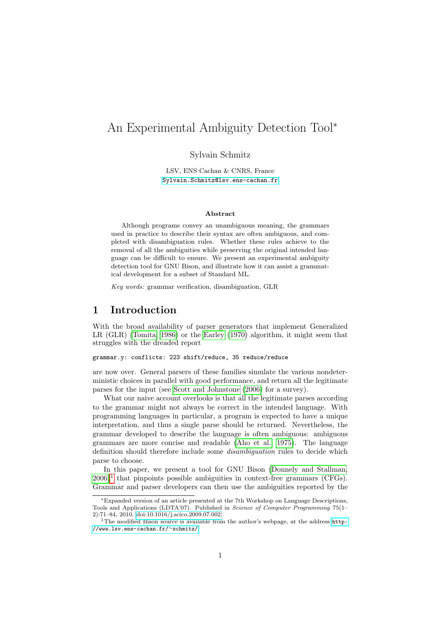# An Experimental Ambiguity Detection Tool<sup>∗</sup>

Sylvain Schmitz

LSV, ENS Cachan & CNRS, France [Sylvain.Schmitz@lsv.ens-cachan.fr](mailto:Sylvain.Schmitz@lsv.ens-cachan.fr)

#### Abstract

Although programs convey an unambiguous meaning, the grammars used in practice to describe their syntax are often ambiguous, and completed with disambiguation rules. Whether these rules achieve to the removal of all the ambiguities while preserving the original intended language can be difficult to ensure. We present an experimental ambiguity detection tool for GNU Bison, and illustrate how it can assist a grammatical development for a subset of Standard ML.

Key words: grammar verification, disambiguation, GLR

## 1 Introduction

With the broad availability of parser generators that implement Generalized LR (GLR) [\(Tomita, 1986\)](#page-23-0) or the [Earley](#page-21-0) [\(1970\)](#page-21-0) algorithm, it might seem that struggles with the dreaded report

### grammar.y: conflicts: 223 shift/reduce, 35 reduce/reduce

are now over. General parsers of these families simulate the various nondeterministic choices in parallel with good performance, and return all the legitimate parses for the input (see [Scott and Johnstone](#page-23-1) [\(2006\)](#page-23-1) for a survey).

What our naive account overlooks is that all the legitimate parses according to the grammar might not always be correct in the intended language. With programming languages in particular, a program is expected to have a unique interpretation, and thus a single parse should be returned. Nevertheless, the grammar developed to describe the language is often ambiguous: ambiguous grammars are more concise and readable [\(Aho et al., 1975\)](#page-20-0). The language definition should therefore include some *disambiguation* rules to decide which parse to choose.

In this paper, we present a tool for GNU Bison [\(Donnely and Stallman,](#page-21-1)  $(2006)^1$  $(2006)^1$  $(2006)^1$  $(2006)^1$  that pinpoints possible ambiguities in context-free grammars (CFGs). Grammar and parser developers can then use the ambiguities reported by the

<sup>∗</sup>Expanded version of an article presented at the 7th Workshop on Language Descriptions, Tools and Applications (LDTA'07). Published in Science of Computer Programming 75(1– 2):71–84, 2010. [doi:10.1016/j.scico.2009.07.002.](http://dx.doi.org/10.1016/j.scico.2009.07.002)

<span id="page-0-0"></span><sup>1</sup>The modified Bison source is available from the author's webpage, at the address [http:](http://www.lsv.ens-cachan.fr/~schmitz/) [//www.lsv.ens-cachan.fr/](http://www.lsv.ens-cachan.fr/~schmitz/)∼schmitz/.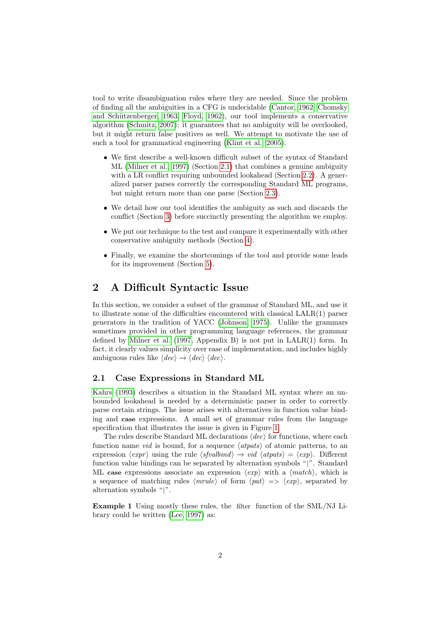tool to write disambiguation rules where they are needed. Since the problem of finding all the ambiguities in a CFG is undecidable [\(Cantor, 1962;](#page-20-1) [Chomsky](#page-21-2) and Schützenberger, 1963; [Floyd, 1962\)](#page-21-3), our tool implements a conservative algorithm [\(Schmitz, 2007\)](#page-22-0): it guarantees that no ambiguity will be overlooked, but it might return false positives as well. We attempt to motivate the use of such a tool for grammatical engineering [\(Klint et al., 2005\)](#page-22-1).

- ∙ We first describe a well-known difficult subset of the syntax of Standard ML [\(Milner et al., 1997\)](#page-22-2) (Section [2.1\)](#page-1-0) that combines a genuine ambiguity with a LR conflict requiring unbounded lookahead (Section [2.2\)](#page-2-0). A generalized parser parses correctly the corresponding Standard ML programs, but might return more than one parse (Section [2.3\)](#page-4-0).
- ∙ We detail how our tool identifies the ambiguity as such and discards the conflict (Section [3\)](#page-6-0) before succinctly presenting the algorithm we employ.
- ∙ We put our technique to the test and compare it experimentally with other conservative ambiguity methods (Section [4\)](#page-10-0).
- ∙ Finally, we examine the shortcomings of the tool and provide some leads for its improvement (Section [5\)](#page-18-0).

## <span id="page-1-2"></span>2 A Difficult Syntactic Issue

In this section, we consider a subset of the grammar of Standard ML, and use it to illustrate some of the difficulties encountered with classical LALR(1) parser generators in the tradition of YACC [\(Johnson, 1975\)](#page-21-4). Unlike the grammars sometimes provided in other programming language references, the grammar defined by [Milner et al.](#page-22-2) [\(1997,](#page-22-2) Appendix B) is not put in LALR(1) form. In fact, it clearly values simplicity over ease of implementation, and includes highly ambiguous rules like  $\langle dec \rangle \rightarrow \langle dec \rangle \langle dec \rangle$ .

### <span id="page-1-0"></span>2.1 Case Expressions in Standard ML

[Kahrs](#page-21-5) [\(1993\)](#page-21-5) describes a situation in the Standard ML syntax where an unbounded lookahead is needed by a deterministic parser in order to correctly parse certain strings. The issue arises with alternatives in function value binding and case expressions. A small set of grammar rules from the language specification that illustrates the issue is given in Figure [1.](#page-2-1)

The rules describe Standard ML declarations  $\langle dec \rangle$  for functions, where each function name *vid* is bound, for a sequence  $\langle atpats \rangle$  of atomic patterns, to an expression  $\langle \text{expr} \rangle$  using the rule  $\langle \text{sfvalid} \rangle \rightarrow \text{vid} \langle \text{atpats} \rangle = \langle \text{exp} \rangle$ . Different function value bindings can be separated by alternation symbols "∣". Standard ML case expressions associate an expression  $\langle exp \rangle$  with a  $\langle match \rangle$ , which is a sequence of matching rules  $\langle mrule \rangle$  of form  $\langle pat \rangle \Rightarrow \langle exp \rangle$ , separated by alternation symbols "∣".

<span id="page-1-1"></span>Example 1 Using mostly these rules, the filter function of the SML/NJ Library could be written [\(Lee, 1997\)](#page-22-3) as: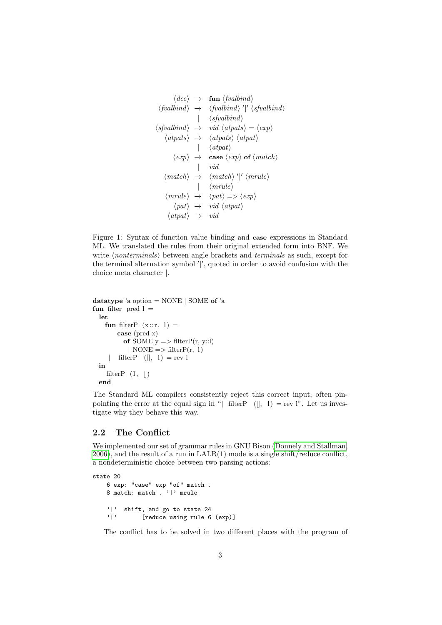```
\langle dec \rangle \rightarrow \text{fun } \langle \text{fvalbind} \rangle\langle \mathit{fvalbind} \rangle \; \rightarrow \; \; \langle \mathit{fvalbind} \rangle \; \langle \mathit{fvalbind} \rangle∣ ⟨sfvalbind⟩
\langlesfvalbind\rangle \rightarrow \text{vid } \langle \text{atpats} \rangle = \langle \text{exp} \rangle\langle atpats \rangle \rightarrow \langle atpats \rangle \langle atpats \rangle∣ ⟨atpat⟩
            \langle exp \rangle \rightarrow case \langle exp \rangle of \langle match \rangle∣ vid
      \langle \textit{match} \rangle \rightarrow \langle \textit{match} \rangle' |' \langle \textit{mrule} \rangle∣ ⟨mrule⟩
       \langle mrule \rangle \rightarrow \langle pat \rangle \Rightarrow \langle exp \rangle\langle pat \rangle \rightarrow \text{vid } \langle atpat \rangle\langle atpat \rangle \rightarrow vid
```
<span id="page-2-1"></span>Figure 1: Syntax of function value binding and case expressions in Standard ML. We translated the rules from their original extended form into BNF. We write  $\langle nonterminals \rangle$  between angle brackets and *terminals* as such, except for the terminal alternation symbol ′ ∣ ′ , quoted in order to avoid confusion with the choice meta character ∣.

```
datatype 'a option = NONE \vert SOME of 'a
fun filter pred l =let
    fun filterP (x:: r, 1) =case (pred x)
          of SOME y \equiv \text{filterP}(r, y::l)| NONE => filterP(r, 1)
        filterP([l, 1) = rev 1in
    filterP (1, []end
```
The Standard ML compilers consistently reject this correct input, often pinpointing the error at the equal sign in "∣ filterP ([], 1) = rev l". Let us investigate why they behave this way.

## <span id="page-2-0"></span>2.2 The Conflict

We implemented our set of grammar rules in GNU Bison [\(Donnely and Stallman,](#page-21-1)  $2006$ , and the result of a run in  $\text{LALR}(1)$  mode is a single shift/reduce conflict, a nondeterministic choice between two parsing actions:

```
state 20
   6 exp: "case" exp "of" match .
   8 match: match . '|' mrule
   '|' shift, and go to state 24
   '|' [reduce using rule 6 (exp)]
```
The conflict has to be solved in two different places with the program of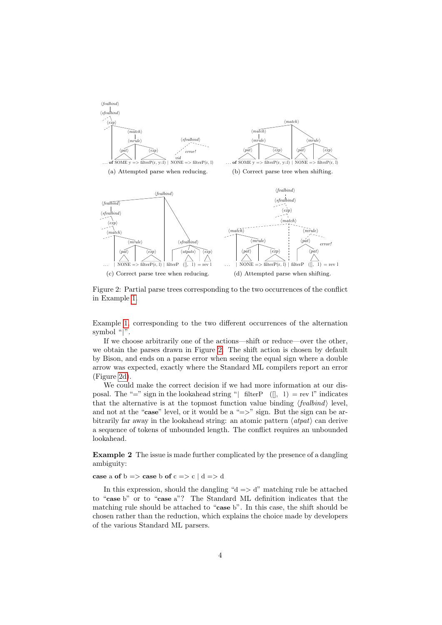<span id="page-3-4"></span><span id="page-3-3"></span><span id="page-3-2"></span>

<span id="page-3-1"></span><span id="page-3-0"></span>Figure 2: Partial parse trees corresponding to the two occurrences of the conflict in Example [1.](#page-1-1)

Example [1,](#page-1-1) corresponding to the two different occurrences of the alternation symbol "∣".

If we choose arbitrarily one of the actions—shift or reduce—over the other, we obtain the parses drawn in Figure [2.](#page-3-0) The shift action is chosen by default by Bison, and ends on a parse error when seeing the equal sign where a double arrow was expected, exactly where the Standard ML compilers report an error (Figure [2d\)](#page-3-1).

We could make the correct decision if we had more information at our disposal. The "=" sign in the lookahead string "| filterP  $($ [], 1) = rev l" indicates that the alternative is at the topmost function value binding  $\langle \text{fvalbind} \rangle$  level, and not at the "case" level, or it would be a " $\equiv$ >" sign. But the sign can be arbitrarily far away in the lookahead string: an atomic pattern  $\langle atpat \rangle$  can derive a sequence of tokens of unbounded length. The conflict requires an unbounded lookahead.

<span id="page-3-5"></span>Example 2 The issue is made further complicated by the presence of a dangling ambiguity:

#### case a of  $b \Rightarrow$  case b of  $c \Rightarrow c \mid d \Rightarrow d$

In this expression, should the dangling " $d \Rightarrow d$ " matching rule be attached to "case b" or to "case a"? The Standard ML definition indicates that the matching rule should be attached to "case b". In this case, the shift should be chosen rather than the reduction, which explains the choice made by developers of the various Standard ML parsers.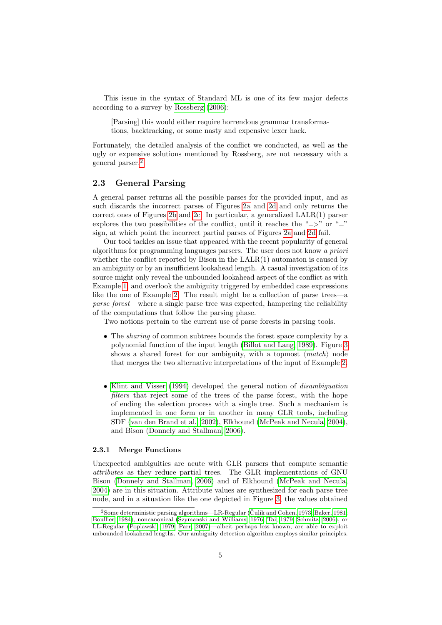This issue in the syntax of Standard ML is one of its few major defects according to a survey by [Rossberg](#page-22-4) [\(2006\)](#page-22-4):

[Parsing] this would either require horrendous grammar transformations, backtracking, or some nasty and expensive lexer hack.

Fortunately, the detailed analysis of the conflict we conducted, as well as the ugly or expensive solutions mentioned by Rossberg, are not necessary with a general parser.[2](#page-4-1)

## <span id="page-4-0"></span>2.3 General Parsing

A general parser returns all the possible parses for the provided input, and as such discards the incorrect parses of Figures [2a](#page-3-2) and [2d](#page-3-1) and only returns the correct ones of Figures [2b](#page-3-3) and [2c.](#page-3-4) In particular, a generalized LALR(1) parser explores the two possibilities of the conflict, until it reaches the "=>" or "=" sign, at which point the incorrect partial parses of Figures [2a](#page-3-2) and [2d](#page-3-1) fail.

Our tool tackles an issue that appeared with the recent popularity of general algorithms for programming languages parsers. The user does not know a priori whether the conflict reported by Bison in the  $\text{LALR}(1)$  automaton is caused by an ambiguity or by an insufficient lookahead length. A casual investigation of its source might only reveal the unbounded lookahead aspect of the conflict as with Example [1,](#page-1-1) and overlook the ambiguity triggered by embedded case expressions like the one of Example [2.](#page-3-5) The result might be a collection of parse trees—a parse forest—where a single parse tree was expected, hampering the reliability of the computations that follow the parsing phase.

Two notions pertain to the current use of parse forests in parsing tools.

- ∙ The sharing of common subtrees bounds the forest space complexity by a polynomial function of the input length [\(Billot and Lang, 1989\)](#page-20-2). Figure [3](#page-5-0) shows a shared forest for our ambiguity, with a topmost  $\langle match \rangle$  node that merges the two alternative interpretations of the input of Example [2.](#page-3-5)
- ∙ [Klint and Visser](#page-21-6) [\(1994\)](#page-21-6) developed the general notion of disambiguation filters that reject some of the trees of the parse forest, with the hope of ending the selection process with a single tree. Such a mechanism is implemented in one form or in another in many GLR tools, including SDF [\(van den Brand et al., 2002\)](#page-23-2), Elkhound [\(McPeak and Necula, 2004\)](#page-22-5), and Bison [\(Donnely and Stallman, 2006\)](#page-21-1).

## 2.3.1 Merge Functions

Unexpected ambiguities are acute with GLR parsers that compute semantic attributes as they reduce partial trees. The GLR implementations of GNU Bison [\(Donnely and Stallman, 2006\)](#page-21-1) and of Elkhound [\(McPeak and Necula,](#page-22-5) [2004\)](#page-22-5) are in this situation. Attribute values are synthesized for each parse tree node, and in a situation like the one depicted in Figure [3,](#page-5-0) the values obtained

<span id="page-4-1"></span> $2$ Some deterministic parsing algorithms—LR-Regular (Čulik and Cohen, 1973; [Baker, 1981;](#page-20-3) [Boullier, 1984\)](#page-20-4), noncanonical [\(Szymanski and Williams, 1976;](#page-23-3) [Tai, 1979;](#page-23-4) [Schmitz, 2006\)](#page-22-6), or LL-Regular [\(Poplawski, 1979;](#page-22-7) [Parr, 2007\)](#page-22-8)—albeit perhaps less known, are able to exploit unbounded lookahead lengths. Our ambiguity detection algorithm employs similar principles.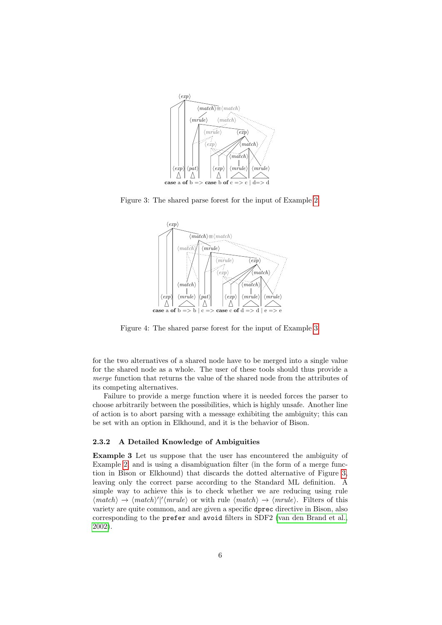

Figure 3: The shared parse forest for the input of Example [2.](#page-3-5)

<span id="page-5-0"></span>

<span id="page-5-2"></span>Figure 4: The shared parse forest for the input of Example [3.](#page-5-1)

for the two alternatives of a shared node have to be merged into a single value for the shared node as a whole. The user of these tools should thus provide a merge function that returns the value of the shared node from the attributes of its competing alternatives.

Failure to provide a merge function where it is needed forces the parser to choose arbitrarily between the possibilities, which is highly unsafe. Another line of action is to abort parsing with a message exhibiting the ambiguity; this can be set with an option in Elkhound, and it is the behavior of Bison.

### 2.3.2 A Detailed Knowledge of Ambiguities

<span id="page-5-1"></span>Example 3 Let us suppose that the user has encountered the ambiguity of Example [2,](#page-3-5) and is using a disambiguation filter (in the form of a merge function in Bison or Elkhound) that discards the dotted alternative of Figure [3,](#page-5-0) leaving only the correct parse according to the Standard ML definition. A simple way to achieve this is to check whether we are reducing using rule  $\langle match \rangle \rightarrow \langle match \rangle'$   $\langle marble \rangle$  or with rule  $\langle match \rangle \rightarrow \langle mrule \rangle$ . Filters of this variety are quite common, and are given a specific dprec directive in Bison, also corresponding to the prefer and avoid filters in SDF2 [\(van den Brand et al.,](#page-23-2) [2002\)](#page-23-2).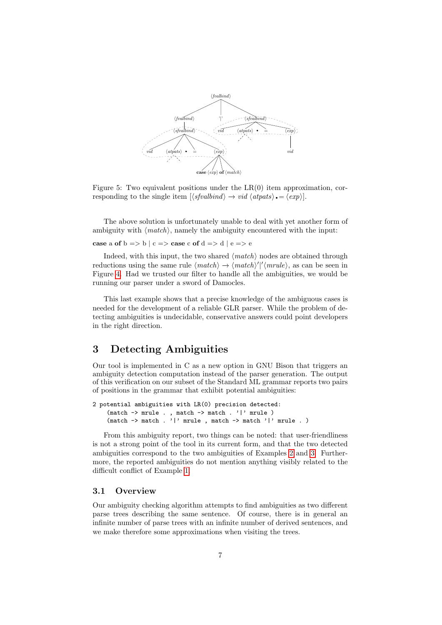

<span id="page-6-1"></span>Figure 5: Two equivalent positions under the  $LR(0)$  item approximation, corresponding to the single item  $[\langle$ sfvalbind $\rangle \rightarrow \nu id \langle$ atpats $\rangle \bullet = \langle exp \rangle]$ .

The above solution is unfortunately unable to deal with yet another form of ambiguity with  $\langle match \rangle$ , namely the ambiguity encountered with the input:

case a of  $b \Rightarrow b \mid c \Rightarrow$  case c of  $d \Rightarrow d \mid e \Rightarrow e$ 

Indeed, with this input, the two shared  $\langle match \rangle$  nodes are obtained through reductions using the same rule  $\langle match \rangle \rightarrow \langle match \rangle'$  $\langle \langle much \rangle$ , as can be seen in Figure [4.](#page-5-2) Had we trusted our filter to handle all the ambiguities, we would be running our parser under a sword of Damocles.

This last example shows that a precise knowledge of the ambiguous cases is needed for the development of a reliable GLR parser. While the problem of detecting ambiguities is undecidable, conservative answers could point developers in the right direction.

## <span id="page-6-0"></span>3 Detecting Ambiguities

Our tool is implemented in C as a new option in GNU Bison that triggers an ambiguity detection computation instead of the parser generation. The output of this verification on our subset of the Standard ML grammar reports two pairs of positions in the grammar that exhibit potential ambiguities:

```
2 potential ambiguities with LR(0) precision detected:
     (match \rightarrow mrule . , match \rightarrow match . '|' mrule )
     (match \rightarrow match . '|' mrule , match \rightarrow match '|' mrule . )
```
From this ambiguity report, two things can be noted: that user-friendliness is not a strong point of the tool in its current form, and that the two detected ambiguities correspond to the two ambiguities of Examples [2](#page-3-5) and [3.](#page-5-1) Furthermore, the reported ambiguities do not mention anything visibly related to the difficult conflict of Example [1.](#page-1-1)

## 3.1 Overview

Our ambiguity checking algorithm attempts to find ambiguities as two different parse trees describing the same sentence. Of course, there is in general an infinite number of parse trees with an infinite number of derived sentences, and we make therefore some approximations when visiting the trees.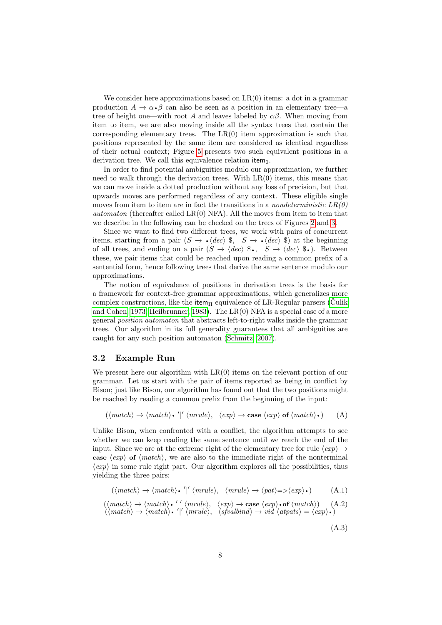We consider here approximations based on  $LR(0)$  items: a dot in a grammar production  $A \to \alpha \cdot \beta$  can also be seen as a position in an elementary tree—a<br>tree of height one—with root A and leaves labeled by  $\alpha\beta$ . When moving from production  $A \to \alpha \cdot \beta$  can also be seen as a position in an elementary tree—a item to item, we are also moving inside all the syntax trees that contain the corresponding elementary trees. The  $LR(0)$  item approximation is such that positions represented by the same item are considered as identical regardless of their actual context; Figure [5](#page-6-1) presents two such equivalent positions in a derivation tree. We call this equivalence relation item $_0$ .

In order to find potential ambiguities modulo our approximation, we further need to walk through the derivation trees. With  $LR(0)$  items, this means that we can move inside a dotted production without any loss of precision, but that upwards moves are performed regardless of any context. These eligible single moves from item to item are in fact the transitions in a *nondeterministic*  $LR(0)$ *automaton* (thereafter called  $LR(0)$  NFA). All the moves from item to item that we describe in the following can be checked on the trees of Figures [2](#page-3-0) and [3.](#page-5-0)

Since we want to find two different trees, we work with pairs of concurrent items, starting from a pair  $(S \to \text{·} \langle dec \rangle \text{ } \text{\$}$ ,  $S \to \text{·} \langle dec \rangle \text{ } \text{\$}$ ) at the beginning of all trees, and ending on a pair  $(S \to \langle dec \rangle \text{ } \text{\$}$ ,  $S \to \langle dec \rangle \text{ } \text{\$}$ . Between items, starting from a pair  $(S \to \cdot \langle dec \rangle \$ ,  $S \to \cdot \langle dec \rangle \$  at the beginning of all trees, and ending on a pair  $(S \to \langle dec \rangle \$ <sup>6</sup>•,  $S \to \langle dec \rangle \$ <sup>6</sup>•). Between these, we pair items that could be reached upon reading a common prefix of a sentential form, hence following trees that derive the same sentence modulo our approximations.

The notion of equivalence of positions in derivation trees is the basis for a framework for context-free grammar approximations, which generalizes more complex constructions, like the item<sub>Π</sub> equivalence of LR-Regular parsers [\(Culik](#page-21-7) [and Cohen, 1973;](#page-21-7) [Heilbrunner, 1983\)](#page-21-8). The LR(0) NFA is a special case of a more general position automaton that abstracts left-to-right walks inside the grammar trees. Our algorithm in its full generality guarantees that all ambiguities are caught for any such position automaton [\(Schmitz, 2007\)](#page-22-0).

## 3.2 Example Run

We present here our algorithm with  $LR(0)$  items on the relevant portion of our grammar. Let us start with the pair of items reported as being in conflict by Bison; just like Bison, our algorithm has found out that the two positions might be reached by reading a common prefix from the beginning of the input:

$$
(\langle match \rangle \rightarrow \langle match \rangle \cdot \langle \vert \langle marble \rangle, \langle exp \rangle \rightarrow case \langle exp \rangle \text{ of } \langle match \rangle \cdot)
$$
 (A)

Unlike Bison, when confronted with a conflict, the algorithm attempts to see whether we can keep reading the same sentence until we reach the end of the input. Since we are at the extreme right of the elementary tree for rule  $\langle exp \rangle \rightarrow$ case  $\langle exp \rangle$  of  $\langle match \rangle$ , we are also to the immediate right of the nonterminal  $\langle exp \rangle$  in some rule right part. Our algorithm explores all the possibilities, thus yielding the three pairs:

$$
(\langle match \rangle \rightarrow \langle match \rangle \cdot \langle \langle mrule \rangle, \langle mrule \rangle \rightarrow \langle pat \rangle = \langle exp \rangle \cdot )
$$
 (A.1)

$$
(\langle match \rangle \rightarrow \langle match \rangle \cdot )' \langle mrule \rangle, \langle exp \rangle \rightarrow case \langle exp \rangle \cdot of \langle match \rangle) \quad (A.2)
$$

$$
(\langle match \rangle \rightarrow \langle match \rangle \cdot )' \langle mrule \rangle, \langle symbol \rangle \rightarrow vid \langle atpats \rangle = \langle exp \rangle \cdot )
$$

<span id="page-7-2"></span><span id="page-7-1"></span><span id="page-7-0"></span>(A.3)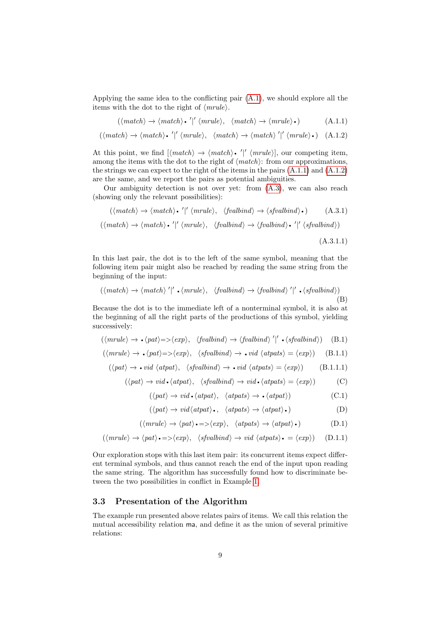Applying the same idea to the conflicting pair [\(A.1\)](#page-7-0), we should explore all the items with the dot to the right of ⟨mrule⟩.

$$
(\langle match \rangle \rightarrow \langle match \rangle \cdot \langle \langle marble \rangle, \langle match \rangle \rightarrow \langle mrule \rangle \cdot) \tag{A.1.1}
$$

$$
(\langle match \rangle \rightarrow \langle match \rangle \cdot \langle \vert \langle \rangle \langle \rangle, \langle match \rangle \rightarrow \langle match \rangle \langle \vert \langle \rangle \langle \rangle)
$$
 (A.1.2)

At this point, we find  $[\langle match \rangle \rightarrow \langle match \rangle \cdot \langle \rangle'$   $\langle mrule \rangle]$ , our competing item, among the items with the dot to the right of  $\langle match \rangle$ : from our approximations,  $\langle \text{r} \rangle$  (*mrule*), our competing item, the strings we can expect to the right of the items in the pairs [\(A.1.1\)](#page-8-0) and [\(A.1.2\)](#page-8-1) are the same, and we report the pairs as potential ambiguities.

Our ambiguity detection is not over yet: from [\(A.3\)](#page-7-1), we can also reach (showing only the relevant possibilities):

$$
(\langle match \rangle \rightarrow \langle match \rangle \cdot \langle ' |' \langle mrule \rangle, \langle fvalbind \rangle \rightarrow \langle sfvalbind \rangle \cdot )
$$
 (A.3.1)  

$$
(\langle match \rangle \rightarrow \langle match \rangle \cdot \langle ' |' \langle mrule \rangle, \langle fvalbind \rangle \rightarrow \langle fvalbind \rangle \cdot \langle ' |' \langle sfvalbind \rangle )
$$

<span id="page-8-6"></span><span id="page-8-5"></span><span id="page-8-4"></span><span id="page-8-3"></span><span id="page-8-2"></span><span id="page-8-1"></span><span id="page-8-0"></span> $(A.3.1.1)$ 

In this last pair, the dot is to the left of the same symbol, meaning that the following item pair might also be reached by reading the same string from the beginning of the input:

$$
(\langle match \rangle \rightarrow \langle match \rangle')' \cdot \langle mrule \rangle, \langle fvalbind \rangle \rightarrow \langle fvalbind \rangle' |' \cdot \langle sfvalbind \rangle)
$$
\n(B)

Because the dot is to the immediate left of a nonterminal symbol, it is also at the beginning of all the right parts of the productions of this symbol, yielding successively:

$$
(\langle mrule \rangle \rightarrow \cdot \langle pat \rangle = > \langle exp \rangle, \quad \langle fvalbind \rangle \rightarrow \langle fvalbind \rangle' |' \cdot \langle sfvalbind \rangle)
$$
 (B.1)

$$
(\langle mrule \rangle \rightarrow \cdot \langle pat \rangle = \langle exp \rangle, \langle sfvalbind \rangle \rightarrow \cdot vid \langle atpats \rangle = \langle exp \rangle)
$$
 (B.1.1)

$$
(\langle pat \rangle \rightarrow \bullet \text{ vid } \langle atpat \rangle, \ \langle \text{sfvalbind} \rangle \rightarrow \bullet \text{ vid } \langle atpats \rangle = \langle exp \rangle)
$$
 (B.1.1.1)

$$
(\langle pat \rangle \to vid \cdot \langle atpat \rangle, \langle sfvalbind \rangle \to vid \cdot \langle atpats \rangle = \langle exp \rangle)
$$
 (C)

$$
(\langle pat \rangle \to vid \cdot \langle atpat \rangle, \langle atpats \rangle \to \cdot \langle atpat \rangle)
$$
 (C.1)

$$
(\langle pat \rangle \to vid \langle atpat \rangle \bullet, \langle atpats \rangle \to \langle atpat \rangle \bullet)
$$
 (D)

$$
(\langle mrule \rangle \to \langle pat \rangle \bullet = \rangle \langle exp \rangle, \quad \langle atpats \rangle \to \langle atpats \rangle \bullet)
$$
 (D.1)

$$
(\langle mrule \rangle \to \langle pat \rangle \bullet = \rangle \langle exp \rangle, \langle sfvalbind \rangle \to vid \langle atpats \rangle \bullet = \langle exp \rangle) \quad (D.1.1)
$$

Our exploration stops with this last item pair: its concurrent items expect different terminal symbols, and thus cannot reach the end of the input upon reading the same string. The algorithm has successfully found how to discriminate between the two possibilities in conflict in Example [1.](#page-1-1)

### 3.3 Presentation of the Algorithm

The example run presented above relates pairs of items. We call this relation the mutual accessibility relation ma, and define it as the union of several primitive relations: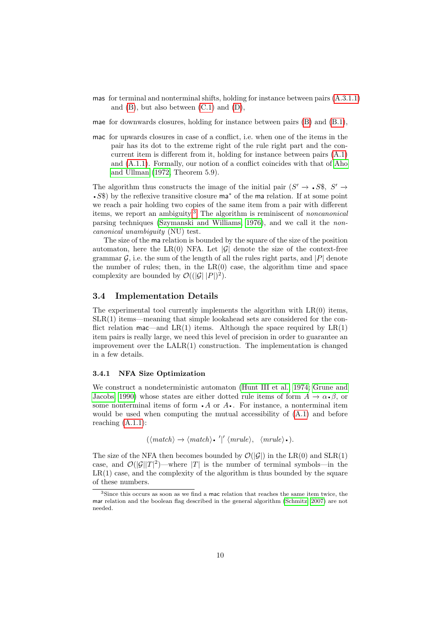- mas for terminal and nonterminal shifts, holding for instance between pairs [\(A.3.1.1\)](#page-8-2) and  $(B)$ , but also between  $(C.1)$  and  $(D)$ ,
- mae for downwards closures, holding for instance between pairs [\(B\)](#page-8-3) and [\(B.1\)](#page-8-6),
- mac for upwards closures in case of a conflict, i.e. when one of the items in the pair has its dot to the extreme right of the rule right part and the concurrent item is different from it, holding for instance between pairs [\(A.1\)](#page-7-0) and [\(A.1.1\)](#page-8-0). Formally, our notion of a conflict coincides with that of [Aho](#page-20-5) [and Ullman](#page-20-5) [\(1972,](#page-20-5) Theorem 5.9).

The algorithm thus constructs the image of the initial pair  $(S' \rightarrow S\$ ,  $S' \rightarrow$ The algorithm thus constructs the image of the initial pair  $(S' \to S\$ ,  $S' \to S\$ ) by the reflexive transitive closure ma<sup>\*</sup> of the ma relation. If at some point • S\%50 by the reflexive transitive closure ma<sup>\*</sup> of the ma relation. If at some point we reach a pair holding two copies of the same item from a pair with different items, we report an ambiguity.<sup>[3](#page-9-0)</sup> The algorithm is reminiscent of *noncanonical* parsing techniques [\(Szymanski and Williams, 1976\)](#page-23-3), and we call it the noncanonical unambiguity (NU) test.

The size of the ma relation is bounded by the square of the size of the position automaton, here the LR(0) NFA. Let  $|\mathcal{G}|$  denote the size of the context-free grammar  $\mathcal{G}$ , i.e. the sum of the length of all the rules right parts, and |P| denote the number of rules; then, in the  $LR(0)$  case, the algorithm time and space complexity are bounded by  $\mathcal{O}((|\mathcal{G}| |P|)^2)$ .

## 3.4 Implementation Details

The experimental tool currently implements the algorithm with  $LR(0)$  items, SLR(1) items—meaning that simple lookahead sets are considered for the conflict relation mac—and  $LR(1)$  items. Although the space required by  $LR(1)$ item pairs is really large, we need this level of precision in order to guarantee an improvement over the  $\text{LALR}(1)$  construction. The implementation is changed in a few details.

### 3.4.1 NFA Size Optimization

We construct a nondeterministic automaton [\(Hunt III et al., 1974;](#page-21-9) [Grune and](#page-21-10) [Jacobs, 1990\)](#page-21-10) whose states are either dotted rule items of form  $A \to \alpha \cdot \beta$ , or some nonterminal items of form  $\cdot A$  or  $A \cdot \cdot$ . For instance, a nonterminal item Jacobs, 1990) whose states are either dotted rule items of form  $A \to \alpha \cdot \beta$ , or some nonterminal items of form  $\cdot A$  or  $A \cdot \cdot$ . For instance, a nonterminal item would be used when computing the mutual accessibility of  $(A.1)$  and before reaching [\(A.1.1\)](#page-8-0):

$$
(\langle match \rangle \rightarrow \langle match \rangle \cdot \langle \vert \langle \rangle \langle \rangle, \langle \vert \langle \rangle \rangle).
$$

The size of the NFA then becomes bounded by  $\mathcal{O}(|\mathcal{G}|)$  in the LR(0) and SLR(1) case, and  $\mathcal{O}(|\mathcal{G}||T|^2)$ —where |T| is the number of terminal symbols—in the  $LR(1)$  case, and the complexity of the algorithm is thus bounded by the square of these numbers.

<span id="page-9-0"></span><sup>3</sup>Since this occurs as soon as we find a mac relation that reaches the same item twice, the mar relation and the boolean flag described in the general algorithm [\(Schmitz, 2007\)](#page-22-0) are not needed.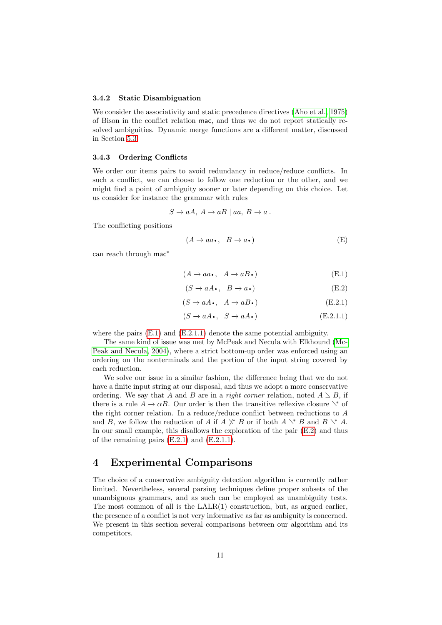#### 3.4.2 Static Disambiguation

We consider the associativity and static precedence directives [\(Aho et al., 1975\)](#page-20-0) of Bison in the conflict relation mac, and thus we do not report statically resolved ambiguities. Dynamic merge functions are a different matter, discussed in Section [5.3.](#page-19-0)

#### 3.4.3 Ordering Conflicts

We order our items pairs to avoid redundancy in reduce/reduce conflicts. In such a conflict, we can choose to follow one reduction or the other, and we might find a point of ambiguity sooner or later depending on this choice. Let us consider for instance the grammar with rules

$$
S \to aA, A \to aB \mid aa, B \to a.
$$

The conflicting positions

$$
(A \to aa \bullet, \ B \to a \bullet)
$$
 (E)

can reach through mac<sup>∗</sup>

<span id="page-10-1"></span>
$$
(A \to aa \cdot, \ A \to aB \cdot)
$$
 (E.1)

<span id="page-10-4"></span><span id="page-10-3"></span>
$$
(S \to aA \bullet, B \to a \bullet)
$$
 (E.2)

$$
(S \rightarrow aA \cdot, A \rightarrow aB \cdot)
$$
 (E.2.1)

<span id="page-10-2"></span>
$$
(S \to aA \bullet, \quad S \to aA \bullet) \tag{E.2.1.1}
$$

where the pairs  $(E.1)$  and  $(E.2.1.1)$  denote the same potential ambiguity.

The same kind of issue was met by McPeak and Necula with Elkhound [\(Mc-](#page-22-5)[Peak and Necula, 2004\)](#page-22-5), where a strict bottom-up order was enforced using an ordering on the nonterminals and the portion of the input string covered by each reduction.

We solve our issue in a similar fashion, the difference being that we do not have a finite input string at our disposal, and thus we adopt a more conservative ordering. We say that A and B are in a right corner relation, noted  $A \geq B$ , if there is a rule  $A \to \alpha B$ . Our order is then the transitive reflexive closure  $\searrow^*$  of the right corner relation. In a reduce/reduce conflict between reductions to  $A$ and B, we follow the reduction of A if  $A \not\perp^* B$  or if both  $A \rightharpoonup^* B$  and  $B \rightharpoonup^* A$ . In our small example, this disallows the exploration of the pair [\(E.2\)](#page-10-3) and thus of the remaining pairs  $(E.2.1)$  and  $(E.2.1.1)$ .

## <span id="page-10-0"></span>4 Experimental Comparisons

The choice of a conservative ambiguity detection algorithm is currently rather limited. Nevertheless, several parsing techniques define proper subsets of the unambiguous grammars, and as such can be employed as unambiguity tests. The most common of all is the LALR(1) construction, but, as argued earlier, the presence of a conflict is not very informative as far as ambiguity is concerned. We present in this section several comparisons between our algorithm and its competitors.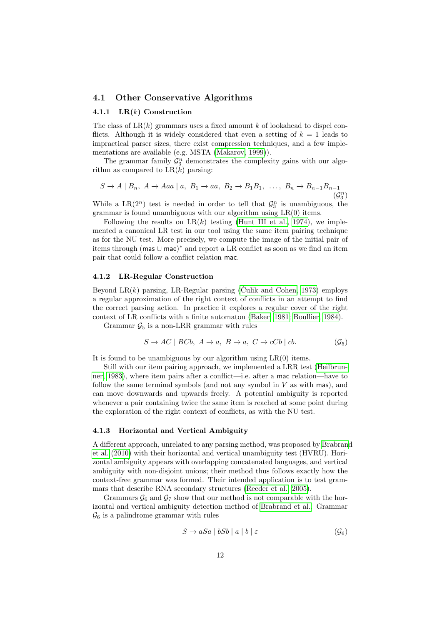### 4.1 Other Conservative Algorithms

### 4.1.1  $LR(k)$  Construction

The class of  $LR(k)$  grammars uses a fixed amount k of lookahead to dispel conflicts. Although it is widely considered that even a setting of  $k = 1$  leads to impractical parser sizes, there exist compression techniques, and a few implementations are available (e.g. MSTA [\(Makarov, 1999\)](#page-22-9)).

The grammar family  $\mathcal{G}_3^n$  demonstrates the complexity gains with our algorithm as compared to  $LR(k)$  parsing:

$$
S \to A \mid B_n, \ A \to Aaa \mid a, \ B_1 \to aa, \ B_2 \to B_1B_1, \ \ldots, \ B_n \to B_{n-1}B_{n-1}
$$
  
( $\mathcal{G}_3^n$ )

While a LR( $2^n$ ) test is needed in order to tell that  $\mathcal{G}_3^n$  is unambiguous, the grammar is found unambiguous with our algorithm using  $LR(0)$  items.

Following the results on  $LR(k)$  testing [\(Hunt III et al., 1974\)](#page-21-9), we implemented a canonical LR test in our tool using the same item pairing technique as for the NU test. More precisely, we compute the image of the initial pair of items through (mas ∪ mae) <sup>∗</sup> and report a LR conflict as soon as we find an item pair that could follow a conflict relation mac.

#### 4.1.2 LR-Regular Construction

Beyond LR $(k)$  parsing, LR-Regular parsing [\(Culik and Cohen, 1973\)](#page-21-7) employs a regular approximation of the right context of conflicts in an attempt to find the correct parsing action. In practice it explores a regular cover of the right context of LR conflicts with a finite automaton [\(Baker, 1981;](#page-20-3) [Boullier, 1984\)](#page-20-4).

Grammar  $\mathcal{G}_5$  is a non-LRR grammar with rules

$$
S \to AC \mid BCb, \ A \to a, \ B \to a, \ C \to cCb \mid cb. \tag{G_5}
$$

It is found to be unambiguous by our algorithm using  $LR(0)$  items.

Still with our item pairing approach, we implemented a LRR test [\(Heilbrun](#page-21-8)[ner, 1983\)](#page-21-8), where item pairs after a conflict—i.e. after a mac relation—have to follow the same terminal symbols (and not any symbol in  $V$  as with mas), and can move downwards and upwards freely. A potential ambiguity is reported whenever a pair containing twice the same item is reached at some point during the exploration of the right context of conflicts, as with the NU test.

### <span id="page-11-0"></span>4.1.3 Horizontal and Vertical Ambiguity

A different approach, unrelated to any parsing method, was proposed by [Brabrand](#page-20-6) [et al.](#page-20-6) [\(2010\)](#page-20-6) with their horizontal and vertical unambiguity test (HVRU). Horizontal ambiguity appears with overlapping concatenated languages, and vertical ambiguity with non-disjoint unions; their method thus follows exactly how the context-free grammar was formed. Their intended application is to test grammars that describe RNA secondary structures [\(Reeder et al., 2005\)](#page-22-10).

Grammars  $\mathcal{G}_6$  and  $\mathcal{G}_7$  show that our method is not comparable with the horizontal and vertical ambiguity detection method of [Brabrand et al..](#page-20-6) Grammar  $\mathcal{G}_6$  is a palindrome grammar with rules

$$
S \to aSa \mid bSb \mid a \mid b \mid \varepsilon \tag{G_6}
$$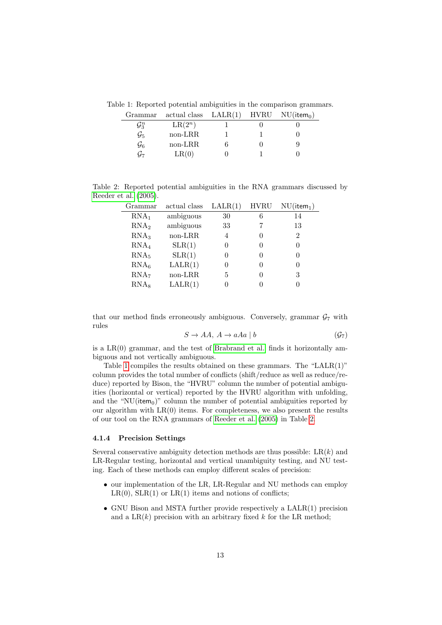Table 1: Reported potential ambiguities in the comparison grammars.

<span id="page-12-0"></span>

| Grammar           | actual class $\text{LALR}(1)$ HVRU NU(item <sub>0</sub> ) |  |  |
|-------------------|-----------------------------------------------------------|--|--|
| $\mathcal{G}_3^n$ | $LR(2^n)$                                                 |  |  |
| $\mathcal{G}_5$   | non-LRR                                                   |  |  |
| $\mathcal{G}_6$   | non-LRR                                                   |  |  |
| $G_7$             | LR(0)                                                     |  |  |
|                   |                                                           |  |  |

Table 2: Reported potential ambiguities in the RNA grammars discussed by [Reeder et al.](#page-22-10) [\(2005\)](#page-22-10).

<span id="page-12-1"></span>

| Grammar          | actual class | LALR(1) | <b>HVRU</b> | $NU(item_1)$   |
|------------------|--------------|---------|-------------|----------------|
| RNA <sub>1</sub> | ambiguous    | 30      |             | 14             |
| RNA <sub>2</sub> | ambiguous    | 33      |             | 13             |
| RNA <sub>3</sub> | non-LRR      | 4       |             | $\mathfrak{D}$ |
| RNA <sub>4</sub> | SLR(1)       | 0       |             | 0              |
| RNA <sub>5</sub> | SLR(1)       | 0       |             | $\Omega$       |
| RNA <sub>6</sub> | LALR(1)      | 0       |             | 0              |
| RNA <sub>7</sub> | non-LRR      | 5       |             | 3              |
| RNA <sub>8</sub> | LALR(1)      | 0       |             |                |
|                  |              |         |             |                |

that our method finds erroneously ambiguous. Conversely, grammar  $G_7$  with rules

$$
S \to AA, \ A \to aAa \mid b \tag{G7}
$$

is a LR(0) grammar, and the test of [Brabrand et al.](#page-20-6) finds it horizontally ambiguous and not vertically ambiguous.

Table [1](#page-12-0) compiles the results obtained on these grammars. The "LALR(1)" column provides the total number of conflicts (shift/reduce as well as reduce/reduce) reported by Bison, the "HVRU" column the number of potential ambiguities (horizontal or vertical) reported by the HVRU algorithm with unfolding, and the "NU(item $<sub>0</sub>$ )" column the number of potential ambiguities reported by</sub> our algorithm with  $LR(0)$  items. For completeness, we also present the results of our tool on the RNA grammars of [Reeder et al.](#page-22-10) [\(2005\)](#page-22-10) in Table [2.](#page-12-1)

### 4.1.4 Precision Settings

Several conservative ambiguity detection methods are thus possible:  $LR(k)$  and LR-Regular testing, horizontal and vertical unambiguity testing, and NU testing. Each of these methods can employ different scales of precision:

- ∙ our implementation of the LR, LR-Regular and NU methods can employ  $LR(0)$ ,  $SLR(1)$  or  $LR(1)$  items and notions of conflicts;
- ∙ GNU Bison and MSTA further provide respectively a LALR(1) precision and a  $LR(k)$  precision with an arbitrary fixed k for the LR method: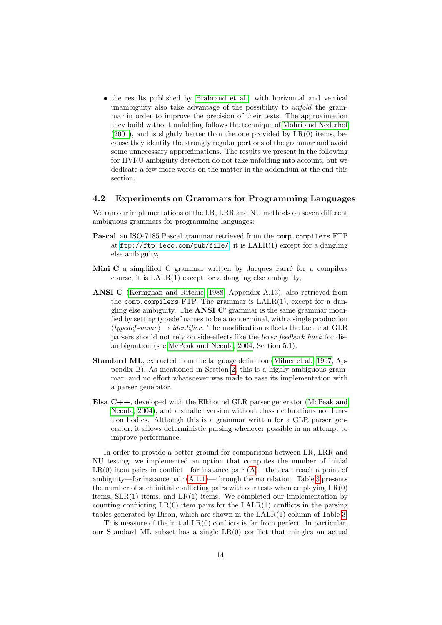∙ the results published by [Brabrand et al.](#page-20-6) with horizontal and vertical unambiguity also take advantage of the possibility to *unfold* the grammar in order to improve the precision of their tests. The approximation they build without unfolding follows the technique of [Mohri and Nederhof](#page-22-11)  $(2001)$ , and is slightly better than the one provided by  $LR(0)$  items, because they identify the strongly regular portions of the grammar and avoid some unnecessary approximations. The results we present in the following for HVRU ambiguity detection do not take unfolding into account, but we dedicate a few more words on the matter in the addendum at the end this section.

## 4.2 Experiments on Grammars for Programming Languages

We ran our implementations of the LR, LRR and NU methods on seven different ambiguous grammars for programming languages:

- Pascal an ISO-7185 Pascal grammar retrieved from the comp.compilers FTP at <ftp://ftp.iecc.com/pub/file/>, it is LALR(1) except for a dangling else ambiguity,
- Mini  $C$  a simplified  $C$  grammar written by Jacques Farré for a compilers course, it is LALR(1) except for a dangling else ambiguity,
- ANSI C [\(Kernighan and Ritchie, 1988,](#page-21-11) Appendix A.13), also retrieved from the comp.compilers FTP. The grammar is  $\text{LALR}(1)$ , except for a dangling else ambiguity. The ANSI C' grammar is the same grammar modified by setting typedef names to be a nonterminal, with a single production  $\langle type def-name \rangle \rightarrow identifier.$  The modification reflects the fact that GLR parsers should not rely on side-effects like the lexer feedback hack for disambiguation (see [McPeak and Necula, 2004,](#page-22-5) Section 5.1).
- Standard ML, extracted from the language definition [\(Milner et al., 1997,](#page-22-2) Appendix B). As mentioned in Section [2,](#page-1-2) this is a highly ambiguous grammar, and no effort whatsoever was made to ease its implementation with a parser generator.
- Elsa C++, developed with the Elkhound GLR parser generator [\(McPeak and](#page-22-5) [Necula, 2004\)](#page-22-5), and a smaller version without class declarations nor function bodies. Although this is a grammar written for a GLR parser generator, it allows deterministic parsing whenever possible in an attempt to improve performance.

In order to provide a better ground for comparisons between LR, LRR and NU testing, we implemented an option that computes the number of initial  $LR(0)$  item pairs in conflict—for instance pair  $(A)$ —that can reach a point of ambiguity—for instance pair  $(A.1.1)$ —through the ma relation. Table [3](#page-14-0) presents the number of such initial conflicting pairs with our tests when employing  $LR(0)$ items,  $SLR(1)$  items, and  $LR(1)$  items. We completed our implementation by counting conflicting  $LR(0)$  item pairs for the  $LALR(1)$  conflicts in the parsing tables generated by Bison, which are shown in the LALR(1) column of Table [3.](#page-14-0)

This measure of the initial  $LR(0)$  conflicts is far from perfect. In particular, our Standard ML subset has a single LR(0) conflict that mingles an actual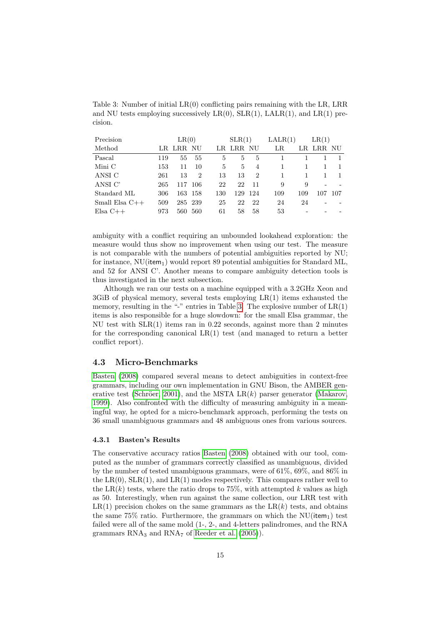<span id="page-14-0"></span>Table 3: Number of initial LR(0) conflicting pairs remaining with the LR, LRR and NU tests employing successively  $LR(0)$ ,  $SLR(1)$ ,  $LALR(1)$ , and  $LR(1)$  precision.

| Precision        |     | LR(0)     |                |         | SLR(1) |                | LALR(1) |     | LR(1)     |      |
|------------------|-----|-----------|----------------|---------|--------|----------------|---------|-----|-----------|------|
| Method           |     | LR LRR NU |                | $_{LR}$ | LRR NU |                | LR      |     | LR LRR NU |      |
| Pascal           | 119 | 55        | 55             | 5       | 5      | 5              |         |     |           |      |
| Mini C           | 153 | 11        | 10             | 5       | 5      | 4              |         | 1   |           |      |
| ANSI C           | 261 | 13        | $\overline{2}$ | 13      | 13     | $\overline{2}$ |         |     |           |      |
| ANSI C'          | 265 | 117       | -106           | 22      | 22     | 11             | 9       | 9   |           |      |
| Standard ML      | 306 | 163       | -158           | 130     | 129    | -124           | 109     | 109 | 107       | -107 |
| Small Elsa $C++$ | 509 | 285 239   |                | 25      | 22     | 22             | 24      | 24  |           |      |
| $E$ lsa $C++$    | 973 | 560       | 560            | 61      | 58     | 58             | 53      |     |           |      |

ambiguity with a conflict requiring an unbounded lookahead exploration: the measure would thus show no improvement when using our test. The measure is not comparable with the numbers of potential ambiguities reported by NU; for instance,  $\text{NU}(\text{item}_1)$  would report 89 potential ambiguities for Standard ML, and 52 for ANSI C'. Another means to compare ambiguity detection tools is thus investigated in the next subsection.

Although we ran our tests on a machine equipped with a 3.2GHz Xeon and  $3\text{GiB}$  of physical memory, several tests employing  $LR(1)$  items exhausted the memory, resulting in the "-" entries in Table [3.](#page-14-0) The explosive number of  $LR(1)$ items is also responsible for a huge slowdown: for the small Elsa grammar, the NU test with  $SLR(1)$  items ran in 0.22 seconds, against more than 2 minutes for the corresponding canonical  $LR(1)$  test (and managed to return a better conflict report).

### 4.3 Micro-Benchmarks

[Basten](#page-20-7) [\(2008\)](#page-20-7) compared several means to detect ambiguities in context-free grammars, including our own implementation in GNU Bison, the AMBER generative test (Schröer, 2001), and the MSTA LR $(k)$  parser generator [\(Makarov,](#page-22-9) [1999\)](#page-22-9). Also confronted with the difficulty of measuring ambiguity in a meaningful way, he opted for a micro-benchmark approach, performing the tests on 36 small unambiguous grammars and 48 ambiguous ones from various sources.

### 4.3.1 Basten's Results

The conservative accuracy ratios [Basten](#page-20-7) [\(2008\)](#page-20-7) obtained with our tool, computed as the number of grammars correctly classified as unambiguous, divided by the number of tested unambiguous grammars, were of 61%, 69%, and 86% in the  $LR(0)$ ,  $SLR(1)$ , and  $LR(1)$  modes respectively. This compares rather well to the LR $(k)$  tests, where the ratio drops to 75%, with attempted k values as high as 50. Interestingly, when run against the same collection, our LRR test with  $LR(1)$  precision chokes on the same grammars as the  $LR(k)$  tests, and obtains the same  $75\%$  ratio. Furthermore, the grammars on which the NU(item<sub>1</sub>) test failed were all of the same mold (1-, 2-, and 4-letters palindromes, and the RNA grammars  $\text{RNA}_3$  and  $\text{RNA}_7$  of [Reeder et al.](#page-22-10) [\(2005\)](#page-22-10)).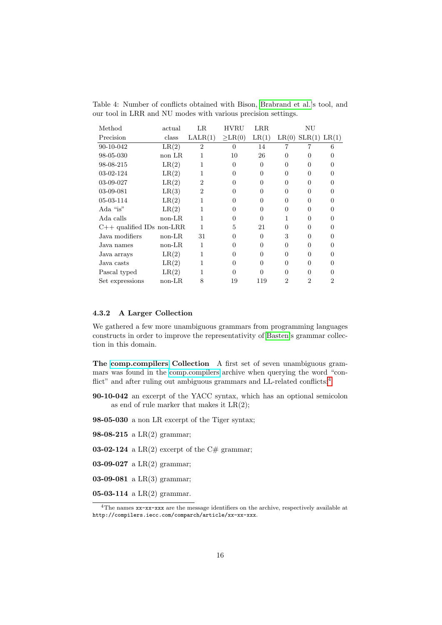| Method                      | actual   | LR             | <b>HVRU</b>  | LRR      |                | ΝU                 |                |
|-----------------------------|----------|----------------|--------------|----------|----------------|--------------------|----------------|
| Precision                   | class    | LALR(1)        | $\geq$ LR(0) | LR(1)    |                | LR(0) SLR(1) LR(1) |                |
| 90-10-042                   | LR(2)    | $\overline{2}$ | $\Omega$     | 14       |                |                    | 6              |
| 98-05-030                   | non LR   |                | 10           | 26       | 0              | 0                  |                |
| 98-08-215                   | LR(2)    |                | $\Omega$     | $\Omega$ | 0              | $\Omega$           |                |
| 03-02-124                   | LR(2)    |                | $\Omega$     | $\Omega$ | $\Omega$       | $\Omega$           | 0              |
| 03-09-027                   | LR(2)    | 2              | 0            | $\Omega$ | $\Omega$       | $\Omega$           |                |
| 03-09-081                   | LR(3)    | 2              | 0            | 0        | 0              | 0                  |                |
| 05-03-114                   | LR(2)    |                | 0            | 0        | 0              | 0                  |                |
| Ada "is"                    | LR(2)    |                | 0            | 0        | 0              | 0                  |                |
| Ada calls                   | $non-LR$ |                | 0            | $\Omega$ |                | $\Omega$           |                |
| $C++$ qualified IDs non-LRR |          | 1              | 5            | 21       | $\Omega$       | $\theta$           |                |
| Java modifiers              | $non-LR$ | 31             | $\Omega$     | $\Omega$ | 3              | $\Omega$           |                |
| Java names                  | $non-LR$ |                | 0            | 0        | 0              | 0                  |                |
| Java arrays                 | LR(2)    |                | ∩            | $\Omega$ | 0              | 0                  |                |
| Java casts                  | LR(2)    |                | ∩            | 0        | 0              | 0                  |                |
| Pascal typed                | LR(2)    |                | 0            | 0        | 0              | 0                  |                |
| Set expressions             | $non-LR$ |                | 19           | 119      | $\overline{2}$ | $\overline{2}$     | $\overline{2}$ |

<span id="page-15-1"></span>Table 4: Number of conflicts obtained with Bison, [Brabrand et al.'](#page-20-6)s tool, and our tool in LRR and NU modes with various precision settings.

### 4.3.2 A Larger Collection

We gathered a few more unambiguous grammars from programming languages constructs in order to improve the representativity of [Basten'](#page-20-7)s grammar collection in this domain.

The [comp.compilers](http://compilers.iecc.com) Collection A first set of seven unambiguous grammars was found in the [comp.compilers](http://compilers.iecc.com) archive when querying the word "con-flict" and after ruling out ambiguous grammars and LL-related conflicts:<sup>[4](#page-15-0)</sup>

90-10-042 an excerpt of the YACC syntax, which has an optional semicolon as end of rule marker that makes it  $LR(2)$ ;

98-05-030 a non LR excerpt of the Tiger syntax;

**98-08-215** a LR(2) grammar;

**03-02-124** a LR(2) excerpt of the C# grammar;

- 03-09-027 a  $LR(2)$  grammar;
- **03-09-081** a LR(3) grammar;

**05-03-114** a  $LR(2)$  grammar.

<span id="page-15-0"></span><sup>&</sup>lt;sup>4</sup>The names xx-xx-xxx are the message identifiers on the archive, respectively available at http://compilers.iecc.com/comparch/article/xx-xx-xxx.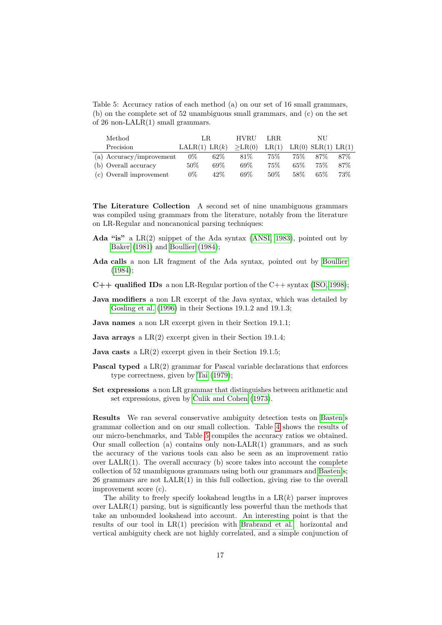<span id="page-16-0"></span>Table 5: Accuracy ratios of each method (a) on our set of 16 small grammars, (b) on the complete set of 52 unambiguous small grammars, and (c) on the set of 26 non-LALR(1) small grammars.

| Method                   | LR.           |        | <b>HVRU</b>  | LRR.  |        |                    |      |
|--------------------------|---------------|--------|--------------|-------|--------|--------------------|------|
| Precision                | LALR(1) LR(k) |        | $\geq$ LR(0) | LR(1) |        | LR(0) SLR(1) LR(1) |      |
| (a) Accuracy/improvement | $0\%$         | $62\%$ | 81%          | 75%   | $75\%$ | 87%                | 87\% |
| (b) Overall accuracy     | 50%           | 69%    | 69%          | 75%   | $65\%$ | 75%                | 87\% |
| (c) Overall improvement  | $0\%$         | 42%    | 69%          | 50%   | 58%    | $65\%$             | 73%  |

The Literature Collection A second set of nine unambiguous grammars was compiled using grammars from the literature, notably from the literature on LR-Regular and noncanonical parsing techniques:

- Ada "is" a LR(2) snippet of the Ada syntax [\(ANSI, 1983\)](#page-20-8), pointed out by [Baker](#page-20-3) [\(1981\)](#page-20-3) and [Boullier](#page-20-4) [\(1984\)](#page-20-4);
- Ada calls a non LR fragment of the Ada syntax, pointed out by [Boullier](#page-20-4) [\(1984\)](#page-20-4);
- $C++$  qualified IDs a non LR-Regular portion of the  $C++$  syntax [\(ISO, 1998\)](#page-21-12);
- Java modifiers a non LR excerpt of the Java syntax, which was detailed by [Gosling et al.](#page-21-13) [\(1996\)](#page-21-13) in their Sections 19.1.2 and 19.1.3;
- Java names a non LR excerpt given in their Section 19.1.1;
- **Java arrays** a  $LR(2)$  excerpt given in their Section 19.1.4;
- **Java casts** a  $LR(2)$  excerpt given in their Section 19.1.5;
- Pascal typed a LR(2) grammar for Pascal variable declarations that enforces type correctness, given by [Tai](#page-23-4) [\(1979\)](#page-23-4);
- Set expressions a non LR grammar that distinguishes between arithmetic and set expressions, given by Čulik and Cohen  $(1973)$ .

Results We ran several conservative ambiguity detection tests on [Basten'](#page-20-7)s grammar collection and on our small collection. Table [4](#page-15-1) shows the results of our micro-benchmarks, and Table [5](#page-16-0) compiles the accuracy ratios we obtained. Our small collection (a) contains only non-LALR(1) grammars, and as such the accuracy of the various tools can also be seen as an improvement ratio over  $\text{LALR}(1)$ . The overall accuracy (b) score takes into account the complete collection of 52 unambiguous grammars using both our grammars and [Basten'](#page-20-7)s; 26 grammars are not LALR(1) in this full collection, giving rise to the overall improvement score (c).

The ability to freely specify lookahead lengths in a  $LR(k)$  parser improves over LALR(1) parsing, but is significantly less powerful than the methods that take an unbounded lookahead into account. An interesting point is that the results of our tool in LR(1) precision with [Brabrand et al.](#page-20-6) horizontal and vertical ambiguity check are not highly correlated, and a simple conjunction of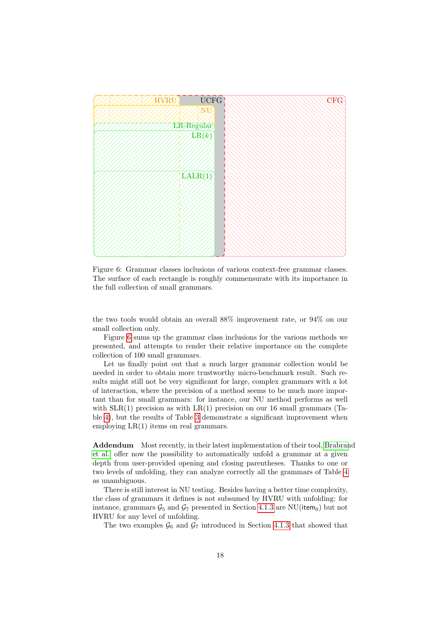

<span id="page-17-0"></span>Figure 6: Grammar classes inclusions of various context-free grammar classes. The surface of each rectangle is roughly commensurate with its importance in the full collection of small grammars.

the two tools would obtain an overall 88% improvement rate, or 94% on our small collection only.

Figure [6](#page-17-0) sums up the grammar class inclusions for the various methods we presented, and attempts to render their relative importance on the complete collection of 100 small grammars.

Let us finally point out that a much larger grammar collection would be needed in order to obtain more trustworthy micro-benchmark result. Such results might still not be very significant for large, complex grammars with a lot of interaction, where the precision of a method seems to be much more important than for small grammars: for instance, our NU method performs as well with  $SLR(1)$  precision as with  $LR(1)$  precision on our 16 small grammars (Table [4\)](#page-15-1), but the results of Table [3](#page-14-0) demonstrate a significant improvement when employing LR(1) items on real grammars.

Addendum Most recently, in their latest implementation of their tool, [Brabran](#page-20-6)d [et al.](#page-20-6) offer now the possibility to automatically unfold a grammar at a given depth from user-provided opening and closing parentheses. Thanks to one or two levels of unfolding, they can analyze correctly all the grammars of Table [4](#page-15-1) as unambiguous.

There is still interest in NU testing. Besides having a better time complexity, the class of grammars it defines is not subsumed by HVRU with unfolding: for instance, grammars  $\mathcal{G}_5$  and  $\mathcal{G}_7$  presented in Section [4.1.3](#page-11-0) are NU(item<sub>0</sub>) but not HVRU for any level of unfolding.

The two examples  $\mathcal{G}_6$  and  $\mathcal{G}_7$  introduced in Section [4.1.3](#page-11-0) that showed that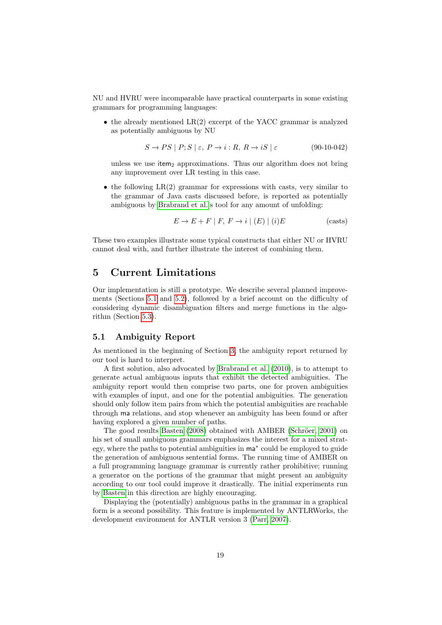NU and HVRU were incomparable have practical counterparts in some existing grammars for programming languages:

∙ the already mentioned LR(2) excerpt of the YACC grammar is analyzed as potentially ambiguous by NU

$$
S \to PS \mid P; S \mid \varepsilon, P \to i : R, R \to iS \mid \varepsilon \tag{90-10-042}
$$

unless we use item<sub>2</sub> approximations. Thus our algorithm does not bring any improvement over LR testing in this case.

∙ the following LR(2) grammar for expressions with casts, very similar to the grammar of Java casts discussed before, is reported as potentially ambiguous by [Brabrand et al.'](#page-20-6)s tool for any amount of unfolding:

$$
E \to E + F \mid F, F \to i \mid (E) \mid (i)E \tag{casts}
$$

These two examples illustrate some typical constructs that either NU or HVRU cannot deal with, and further illustrate the interest of combining them.

## <span id="page-18-0"></span>5 Current Limitations

Our implementation is still a prototype. We describe several planned improvements (Sections [5.1](#page-18-1) and [5.2\)](#page-19-1), followed by a brief account on the difficulty of considering dynamic disambiguation filters and merge functions in the algorithm (Section [5.3\)](#page-19-0).

## <span id="page-18-1"></span>5.1 Ambiguity Report

As mentioned in the beginning of Section [3,](#page-6-0) the ambiguity report returned by our tool is hard to interpret.

A first solution, also advocated by [Brabrand et al.](#page-20-6) [\(2010\)](#page-20-6), is to attempt to generate actual ambiguous inputs that exhibit the detected ambiguities. The ambiguity report would then comprise two parts, one for proven ambiguities with examples of input, and one for the potential ambiguities. The generation should only follow item pairs from which the potential ambiguities are reachable through ma relations, and stop whenever an ambiguity has been found or after having explored a given number of paths.

The good results [Basten](#page-20-7) [\(2008\)](#page-20-7) obtained with AMBER (Schröer, 2001) on his set of small ambiguous grammars emphasizes the interest for a mixed strategy, where the paths to potential ambiguities in ma<sup>∗</sup> could be employed to guide the generation of ambiguous sentential forms. The running time of AMBER on a full programming language grammar is currently rather prohibitive; running a generator on the portions of the grammar that might present an ambiguity according to our tool could improve it drastically. The initial experiments run by [Basten](#page-20-7) in this direction are highly encouraging.

Displaying the (potentially) ambiguous paths in the grammar in a graphical form is a second possibility. This feature is implemented by ANTLRWorks, the development environment for ANTLR version 3 [\(Parr, 2007\)](#page-22-8).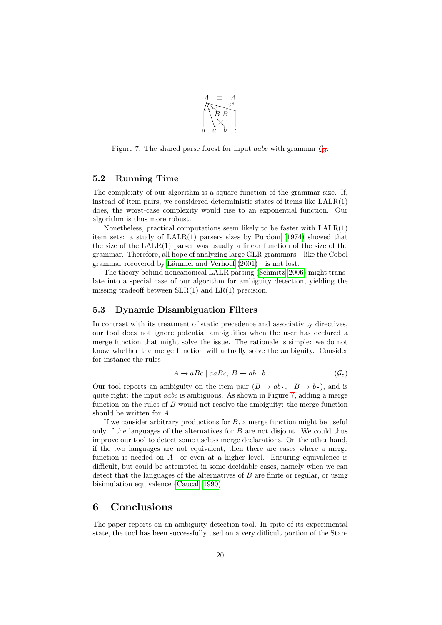

<span id="page-19-3"></span>Figure 7: The shared parse forest for input *aabc* with grammar  $\mathcal{G}_8$  $\mathcal{G}_8$ .

## <span id="page-19-1"></span>5.2 Running Time

The complexity of our algorithm is a square function of the grammar size. If, instead of item pairs, we considered deterministic states of items like LALR(1) does, the worst-case complexity would rise to an exponential function. Our algorithm is thus more robust.

Nonetheless, practical computations seem likely to be faster with  $\text{LALR}(1)$ item sets: a study of LALR(1) parsers sizes by [Purdom](#page-22-13) [\(1974\)](#page-22-13) showed that the size of the  $LALR(1)$  parser was usually a linear function of the size of the grammar. Therefore, all hope of analyzing large GLR grammars—like the Cobol grammar recovered by Lämmel and Verhoef [\(2001\)](#page-22-14)—is not lost.

The theory behind noncanonical LALR parsing [\(Schmitz, 2006\)](#page-22-6) might translate into a special case of our algorithm for ambiguity detection, yielding the missing tradeoff between  $SLR(1)$  and  $LR(1)$  precision.

### <span id="page-19-0"></span>5.3 Dynamic Disambiguation Filters

In contrast with its treatment of static precedence and associativity directives, our tool does not ignore potential ambiguities when the user has declared a merge function that might solve the issue. The rationale is simple: we do not know whether the merge function will actually solve the ambiguity. Consider for instance the rules

<span id="page-19-2"></span>
$$
A \to aBc \mid aaBc, \ B \to ab \mid b. \tag{G8}
$$

Our tool reports an ambiguity on the item pair  $(B \to ab \cdot, B \to b \cdot)$ , and is quite right: the input *aabc* is ambiguous. As shown in Figure [7,](#page-19-3) adding a merge Our tool reports an ambiguity on the item pair  $(B \to ab \bullet, B \to b \bullet)$ , and is function on the rules of  $B$  would not resolve the ambiguity: the merge function should be written for A.

If we consider arbitrary productions for  $B$ , a merge function might be useful only if the languages of the alternatives for  $B$  are not disjoint. We could thus improve our tool to detect some useless merge declarations. On the other hand, if the two languages are not equivalent, then there are cases where a merge function is needed on  $A$ —or even at a higher level. Ensuring equivalence is difficult, but could be attempted in some decidable cases, namely when we can detect that the languages of the alternatives of  $B$  are finite or regular, or using bisimulation equivalence [\(Caucal, 1990\)](#page-21-14).

## 6 Conclusions

The paper reports on an ambiguity detection tool. In spite of its experimental state, the tool has been successfully used on a very difficult portion of the Stan-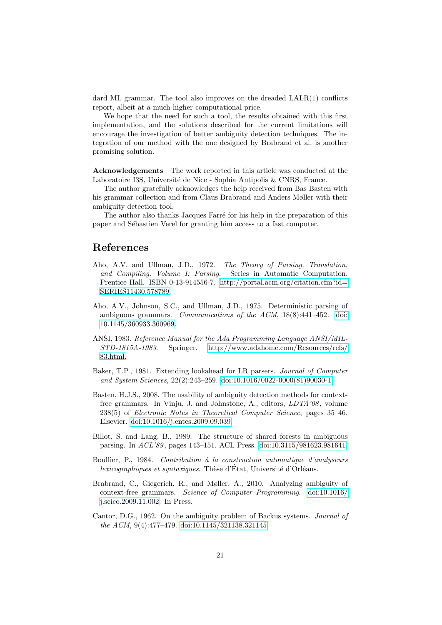dard ML grammar. The tool also improves on the dreaded LALR(1) conflicts report, albeit at a much higher computational price.

We hope that the need for such a tool, the results obtained with this first implementation, and the solutions described for the current limitations will encourage the investigation of better ambiguity detection techniques. The integration of our method with the one designed by Brabrand et al. is another promising solution.

Acknowledgements The work reported in this article was conducted at the Laboratoire I3S, Université de Nice - Sophia Antipolis & CNRS, France.

The author gratefully acknowledges the help received from Bas Basten with his grammar collection and from Claus Brabrand and Anders Møller with their ambiguity detection tool.

The author also thanks Jacques Farré for his help in the preparation of this paper and Sébastien Verel for granting him access to a fast computer.

## References

- <span id="page-20-5"></span>Aho, A.V. and Ullman, J.D., 1972. The Theory of Parsing, Translation, and Compiling. Volume I: Parsing. Series in Automatic Computation. Prentice Hall. ISBN 0-13-914556-7. [http://portal](http://portal.acm.org/citation.cfm?id=SERIES11430.578789).acm.org/citation.cfm?id= [SERIES11430](http://portal.acm.org/citation.cfm?id=SERIES11430.578789).578789.
- <span id="page-20-0"></span>Aho, A.V., Johnson, S.C., and Ullman, J.D., 1975. Deterministic parsing of ambiguous grammars. Communications of the ACM, 18(8):441–452. [doi:](http://dx.doi.org/10.1145/360933.360969) 10.[1145/360933](http://dx.doi.org/10.1145/360933.360969).360969.
- <span id="page-20-8"></span>ANSI, 1983. Reference Manual for the Ada Programming Language ANSI/MIL-STD-1815A-1983. Springer. http://www.adahome.[com/Resources/refs/](http://www.adahome.com/Resources/refs/83.html) 83.[html.](http://www.adahome.com/Resources/refs/83.html)
- <span id="page-20-3"></span>Baker, T.P., 1981. Extending lookahead for LR parsers. Journal of Computer and System Sciences, 22(2):243–259. doi:10.[1016/0022-0000\(81\)90030-1.](http://dx.doi.org/10.1016/0022-0000(81)90030-1)
- <span id="page-20-7"></span>Basten, H.J.S., 2008. The usability of ambiguity detection methods for contextfree grammars. In Vinju, J. and Johnstone, A., editors, LDTA'08 , volume 238(5) of Electronic Notes in Theoretical Computer Science, pages 35–46. Elsevier. doi:10.[1016/j](http://dx.doi.org/10.1016/j.entcs.2009.09.039).entcs.2009.09.039.
- <span id="page-20-2"></span>Billot, S. and Lang, B., 1989. The structure of shared forests in ambiguous parsing. In ACL'89 , pages 143–151. ACL Press. doi:10.[3115/981623](http://dx.doi.org/10.3115/981623.981641).981641.
- <span id="page-20-4"></span>Boullier, P., 1984. Contribution à la construction automatique d'analyseurs  $lexicographies$  et syntaxiques. Thèse d'État, Université d'Orléans.
- <span id="page-20-6"></span>Brabrand, C., Giegerich, R., and Møller, A., 2010. Analyzing ambiguity of context-free grammars. Science of Computer Programming. [doi:10](http://dx.doi.org/10.1016/j.scico.2009.11.002).1016/ j.[scico](http://dx.doi.org/10.1016/j.scico.2009.11.002).2009.11.002. In Press.
- <span id="page-20-1"></span>Cantor, D.G., 1962. On the ambiguity problem of Backus systems. Journal of the ACM, 9(4):477–479. doi:10.[1145/321138](http://dx.doi.org/10.1145/321138.321145).321145.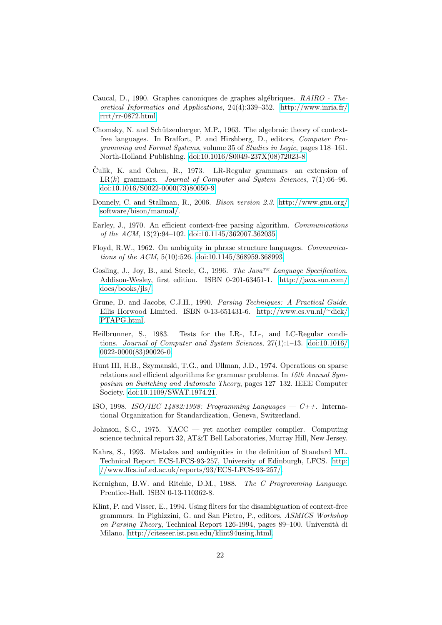- <span id="page-21-14"></span>Caucal, D., 1990. Graphes canoniques de graphes algébriques. RAIRO - Theoretical Informatics and Applications, 24(4):339–352. [http://www](http://www.inria.fr/rrrt/rr-0872.html).inria.fr/ [rrrt/rr-0872](http://www.inria.fr/rrrt/rr-0872.html).html.
- <span id="page-21-2"></span>Chomsky, N. and Schützenberger, M.P., 1963. The algebraic theory of contextfree languages. In Braffort, P. and Hirshberg, D., editors, Computer Programming and Formal Systems, volume 35 of Studies in Logic, pages 118–161. North-Holland Publishing. doi:10.[1016/S0049-237X\(08\)72023-8.](http://dx.doi.org/10.1016/S0049-237X(08)72023-8)
- <span id="page-21-7"></span>Culik, K. and Cohen, R., 1973. LR-Regular grammars—an extension of  $LR(k)$  grammars. Journal of Computer and System Sciences, 7(1):66-96. doi:10.[1016/S0022-0000\(73\)80050-9.](http://dx.doi.org/10.1016/S0022-0000(73)80050-9)
- <span id="page-21-1"></span>Donnely, C. and Stallman, R., 2006. Bison version 2.3. [http://www](http://www.gnu.org/software/bison/manual/).gnu.org/ [software/bison/manual/.](http://www.gnu.org/software/bison/manual/)
- <span id="page-21-0"></span>Earley, J., 1970. An efficient context-free parsing algorithm. Communications of the ACM, 13(2):94–102. doi:10.[1145/362007](http://dx.doi.org/10.1145/362007.362035).362035.
- <span id="page-21-3"></span>Floyd, R.W., 1962. On ambiguity in phrase structure languages. Communications of the ACM, 5(10):526. doi:10.[1145/368959](http://dx.doi.org/10.1145/368959.368993).368993.
- <span id="page-21-13"></span>Gosling, J., Joy, B., and Steele, G., 1996. The Java<sup>TM</sup> Language Specification. Addison-Wesley, first edition. ISBN 0-201-63451-1. [http://java](http://java.sun.com/docs/books/jls/).sun.com/ [docs/books/jls/.](http://java.sun.com/docs/books/jls/)
- <span id="page-21-10"></span>Grune, D. and Jacobs, C.J.H., 1990. Parsing Techniques: A Practical Guide. Ellis Horwood Limited. ISBN 0-13-651431-6. [http://www](http://www.cs.vu.nl/~dick/PTAPG.html).cs.vu.nl/<sup>∼</sup>dick/ [PTAPG](http://www.cs.vu.nl/~dick/PTAPG.html).html.
- <span id="page-21-8"></span>Heilbrunner, S., 1983. Tests for the LR-, LL-, and LC-Regular conditions. Journal of Computer and System Sciences, 27(1):1–13. [doi:10](http://dx.doi.org/10.1016/0022-0000(83)90026-0).1016/ [0022-0000\(83\)90026-0.](http://dx.doi.org/10.1016/0022-0000(83)90026-0)
- <span id="page-21-9"></span>Hunt III, H.B., Szymanski, T.G., and Ullman, J.D., 1974. Operations on sparse relations and efficient algorithms for grammar problems. In 15th Annual Symposium on Switching and Automata Theory, pages 127–132. IEEE Computer Society. doi:10.[1109/SWAT](http://dx.doi.org/10.1109/SWAT.1974.21).1974.21.
- <span id="page-21-12"></span>ISO, 1998. ISO/IEC 14882:1998: Programming Languages  $-C++$ . International Organization for Standardization, Geneva, Switzerland.
- <span id="page-21-4"></span>Johnson, S.C., 1975. YACC — yet another compiler compiler. Computing science technical report 32, AT&T Bell Laboratories, Murray Hill, New Jersey.
- <span id="page-21-5"></span>Kahrs, S., 1993. Mistakes and ambiguities in the definition of Standard ML. Technical Report ECS-LFCS-93-257, University of Edinburgh, LFCS. [http:](http://www.lfcs.inf.ed.ac.uk/reports/93/ECS-LFCS-93-257/) //www.lfcs.inf.ed.ac.[uk/reports/93/ECS-LFCS-93-257/.](http://www.lfcs.inf.ed.ac.uk/reports/93/ECS-LFCS-93-257/)
- <span id="page-21-11"></span>Kernighan, B.W. and Ritchie, D.M., 1988. The C Programming Language. Prentice-Hall. ISBN 0-13-110362-8.
- <span id="page-21-6"></span>Klint, P. and Visser, E., 1994. Using filters for the disambiguation of context-free grammars. In Pighizzini, G. and San Pietro, P., editors, ASMICS Workshop on Parsing Theory, Technical Report 126-1994, pages 89-100. Università di Milano. http://citeseer.ist.psu.[edu/klint94using](http://citeseer.ist.psu.edu/klint94using.html).html.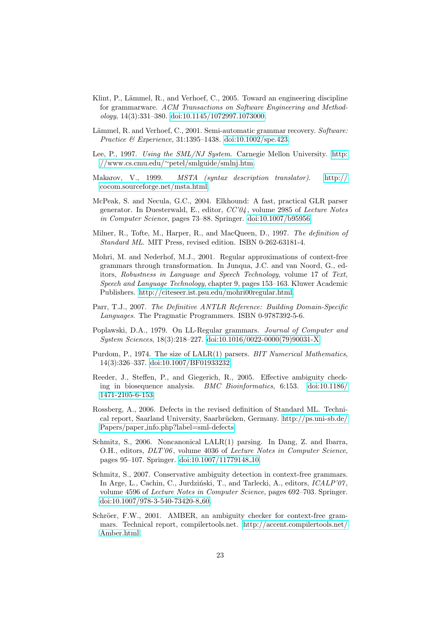- <span id="page-22-1"></span>Klint, P., Lämmel, R., and Verhoef, C., 2005. Toward an engineering discipline for grammarware. ACM Transactions on Software Engineering and Method $ology, 14(3):331-380.$  doi:10.[1145/1072997](http://dx.doi.org/10.1145/1072997.1073000).1073000.
- <span id="page-22-14"></span>Lämmel, R. and Verhoef, C., 2001. Semi-automatic grammar recovery. Software: Practice & Experience, 31:1395–1438. doi:10.[1002/spe](http://dx.doi.org/10.1002/spe.423).423.
- <span id="page-22-3"></span>Lee, P., 1997. Using the SML/NJ System. Carnegie Mellon University. [http:](http://www.cs.cmu.edu/~petel/smlguide/smlnj.htm) //www.cs.cmu.edu/∼[petel/smlguide/smlnj](http://www.cs.cmu.edu/~petel/smlguide/smlnj.htm).htm.
- <span id="page-22-9"></span>Makarov, V., 1999. MSTA (syntax description translator). [http://](http://cocom.sourceforge.net/msta.html) cocom.[sourceforge](http://cocom.sourceforge.net/msta.html).net/msta.html.
- <span id="page-22-5"></span>McPeak, S. and Necula, G.C., 2004. Elkhound: A fast, practical GLR parser generator. In Duesterwald, E., editor,  $CC'04$ , volume 2985 of Lecture Notes in Computer Science, pages 73–88. Springer. doi:10.[1007/b95956.](http://dx.doi.org/10.1007/b95956)
- <span id="page-22-2"></span>Milner, R., Tofte, M., Harper, R., and MacQueen, D., 1997. The definition of Standard ML. MIT Press, revised edition. ISBN 0-262-63181-4.
- <span id="page-22-11"></span>Mohri, M. and Nederhof, M.J., 2001. Regular approximations of context-free grammars through transformation. In Junqua, J.C. and van Noord, G., editors, Robustness in Language and Speech Technology, volume 17 of Text, Speech and Language Technology, chapter 9, pages 153–163. Kluwer Academic Publishers. http://citeseer.ist.psu.[edu/mohri00regular](http://citeseer.ist.psu.edu/mohri00regular.html).html.
- <span id="page-22-8"></span>Parr, T.J., 2007. The Definitive ANTLR Reference: Building Domain-Specific Languages. The Pragmatic Programmers. ISBN 0-9787392-5-6.
- <span id="page-22-7"></span>Poplawski, D.A., 1979. On LL-Regular grammars. Journal of Computer and System Sciences, 18(3):218–227. doi:10.[1016/0022-0000\(79\)90031-X.](http://dx.doi.org/10.1016/0022-0000(79)90031-X)
- <span id="page-22-13"></span>Purdom, P., 1974. The size of LALR(1) parsers. BIT Numerical Mathematics, 14(3):326–337. doi:10.[1007/BF01933232.](http://dx.doi.org/10.1007/BF01933232)
- <span id="page-22-10"></span>Reeder, J., Steffen, P., and Giegerich, R., 2005. Effective ambiguity checking in biosequence analysis. BMC Bioinformatics, 6:153. [doi:10](http://dx.doi.org/10.1186/1471-2105-6-153).1186/ [1471-2105-6-153.](http://dx.doi.org/10.1186/1471-2105-6-153)
- <span id="page-22-4"></span>Rossberg, A., 2006. Defects in the revised definition of Standard ML. Technical report, Saarland University, Saarbrücken, Germany. [http://ps](http://ps.uni-sb.de/Papers/paper_info.php?label=sml-defects).uni-sb.de/ Papers/paper info.[php?label=sml-defects.](http://ps.uni-sb.de/Papers/paper_info.php?label=sml-defects)
- <span id="page-22-6"></span>Schmitz, S., 2006. Noncanonical LALR(1) parsing. In Dang, Z. and Ibarra, O.H., editors, *DLT'06*, volume 4036 of *Lecture Notes in Computer Science*, pages 95–107. Springer. doi:10.[1007/11779148](http://dx.doi.org/10.1007/11779148_10) 10.
- <span id="page-22-0"></span>Schmitz, S., 2007. Conservative ambiguity detection in context-free grammars. In Arge, L., Cachin, C., Jurdziński, T., and Tarlecki, A., editors, *ICALP'07*, volume 4596 of Lecture Notes in Computer Science, pages 692–703. Springer. doi:10.[1007/978-3-540-73420-8](http://dx.doi.org/10.1007/978-3-540-73420-8_60) 60.
- <span id="page-22-12"></span>Schröer, F.W., 2001. AMBER, an ambiguity checker for context-free grammars. Technical report, compilertools.net. [http://accent](http://accent.compilertools.net/Amber.html).compilertools.net/ [Amber](http://accent.compilertools.net/Amber.html).html.